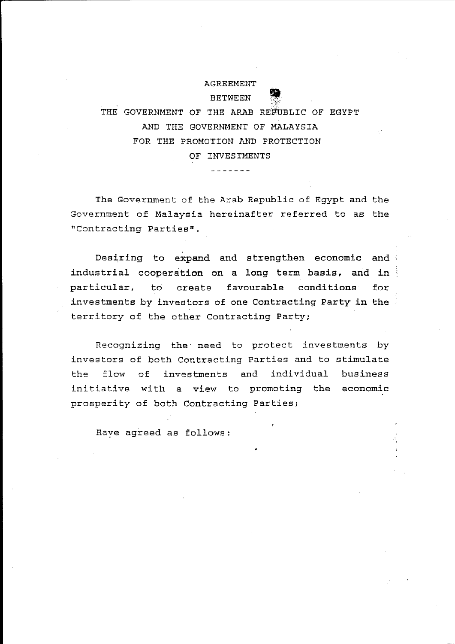AGREEMENT BETWEEN

THE GOVERNMENT OF THE ARAB REFUBLIC OF EGYPT AND THE GOVERNMENT OF MALAYSIA FOR THE PROMOTION AND PROTECTION OF INVESTMENTS

. . . . . . . .

The Government of the Arab Republic of Egypt and the Government of Malaysia hereinafter referred to as the "Contracting Parties".

Desiring to expand and strengthen economic and industrial cooperation on a long term basis, and in particular, to' create favourable conditions for investments by investors of one Contracting Party in the territory of the other Contracting Party;

Recognizing the' need to protect investments by investors of both Contracting Parties and to stimulate the flow of investments and individual business initiative with a view to promoting the economic prosperity of both Contracting Parties;

Have agreed as follows: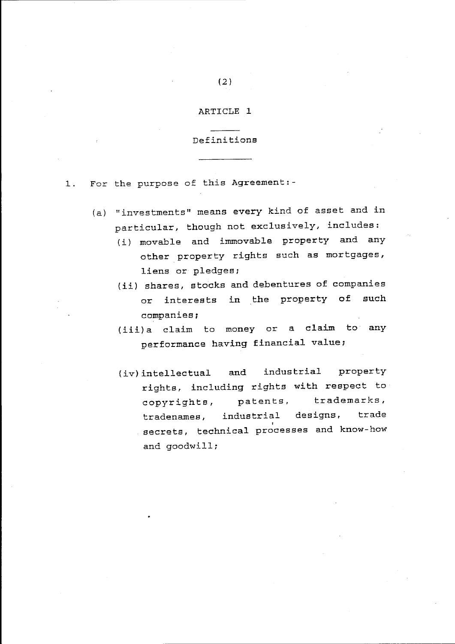## ARTICLE 1

#### Definitions

1. For the purpose of this Agreement:-

- (a) "investments" means every kind of asset and in particular, though not exclusively, includes:
	- (i) movable and immovable property and any other property rights such as mortgages, liens or pledges;
	- (ii) shares, stocks and debentures of companies or interests in the property of such companies;
	- (iii)a claim to money or a claim to any performance having financial value;
	- (iv) intellectual and industrial property rights, including rights with respect to copyrights, patents, trademarks, tradenames, industrial designs, trade secrets, technical processes and know-how and goodwill;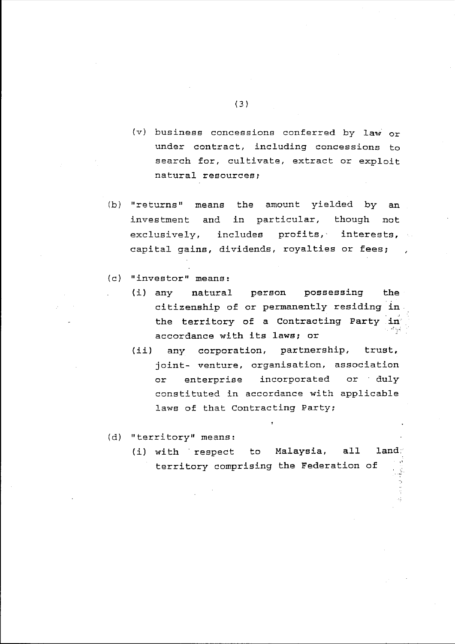- (v) business concessions conferred by law or under contract, including concessions to search for, cultivate, extract or exploit natural resources;
- (b) "returns" means the amount yielded by an investment and in particular, though not exclusively, includes profits, interests, capital gains, dividends, royalties or fees;
- (c) "investor" means:
	- (i) natural person possessing citizenship of or permanently residing . ~n . the the territory of a Contracting Party in accordance with its laws; or
	- (ii) any corporation, partnership, trust, joint- venture, organisation, association or enterprise incorporated or' duly constituted in accordance with applicable laws of that Contracting Party;
- (d) "territory" means:
	- (i) with respect to Malaysia, all land: territory comprising the Federation of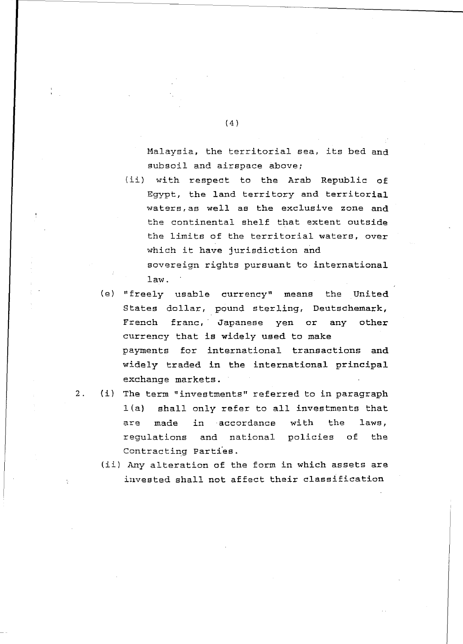Malaysia, the territorial sea, its bed and subsoil and airspace above;

(ii) with respect to the Arab Republic of Egypt, the land territory and territorial waters,as well as the exclusive zone and the continental shelf that extent outside the limits of the territorial waters, over which it have jurisdiction and sovereign rights pursuant to international

law.

- (e) "freely usable currency" means the United States dollar, pound sterling, Deutschemark, French franc, Japanese yen or any other currency that is widely used to make payments for international transactions and widely traded in the international principal exchange markets.
- 2. (i) The term "investments" referred to in paragraph l(a) shall only refer to all investments that are made in accordance with the laws, regulations and national policies of the Contracting Parties.
	- (ii) Any alteration of the form in which assets are iuvested shall not affect their classification

 $(4)$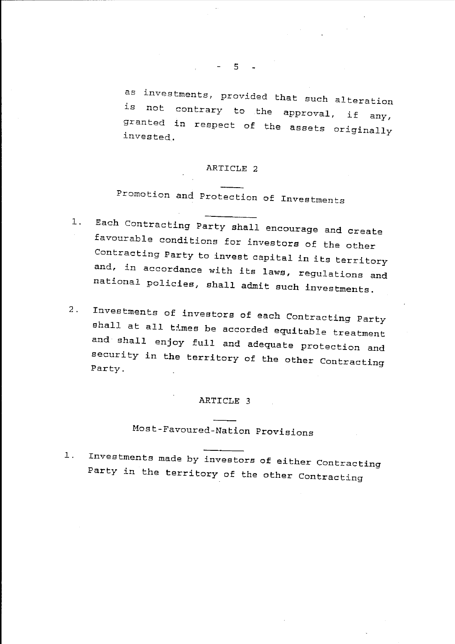as investments, provided that such alteration is not contrary to the approval, if any, granted in respect of the assets originally invested.

### ARTICLE 2

Promotion and Protection of Investments

- 1. Each Contracting Party shall encourage and create favourable conditions for investors of the other Contracting Party to invest capital in its territory and, in accordance with its laws, regulations and national policies, shall admit such investments.
- 2. Investments of investors of each Contracting Party shall at all times be accorded equitable treatment and shall enjoy full and adequate protection and security in the territory of the other Contracting Party.

## ARTICLE 3

# Most-Favoured-Nation Provisions

1. Investments made by investors of either Contracting Party in the territory of the other Contracting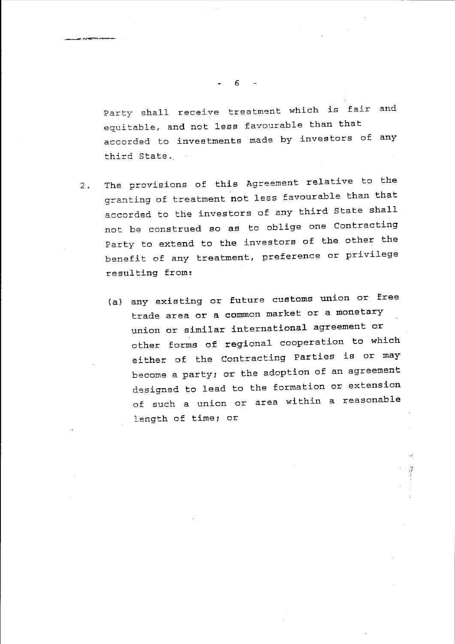Party shall receive treatment which is fair and equitable, and not less favourable than that accorded to investments made by investors of any third State.

- 2. The provisions of this Agreement relative to the granting of treatment not less favourable than that accorded to the investors of any third State shall not be construed so as to oblige one Contracting Party to extend to the investors of the other the benefit of any treatment, preference or privilege resulting from:
	- (a) any existing or future customs union or free trade area or a common market or a monetary union or similar international agreement or other forms of regional cooperation to which either of the Contracting Parties is or may become a party; or the adoption of an agreement designed to lead to the formation or extension of such a union or area within a reasonable length of time; or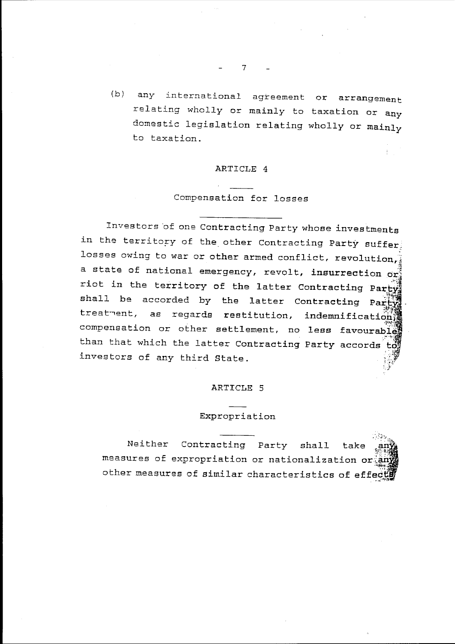(b) any international agreement or arrangement relating wholly or mainly to taxation or any domestic legislation relating wholly or mainly to taxation.

#### ARTICLE 4

# Compensation for losses

Investors 'of one Contracting Party whose investments in the territory of the other Contracting Party suffer; losses owing to war or other armed conflict, revolution, a state of national emergency, revolt, insurrection or; riot in the territory of the latter Contracting Party,<br>'' shall be accorded by the latter Contracting Party, treatment, as regards restitution, indemnification, compensation or other settlement, no less favourable than that which the latter Contracting Party accords to investors of any third State. :}

#### ARTICLE 5

## Expropriation

Neither Contracting Party shall take measures of expropriation or nationalization or a other measures of similar characteristics of effects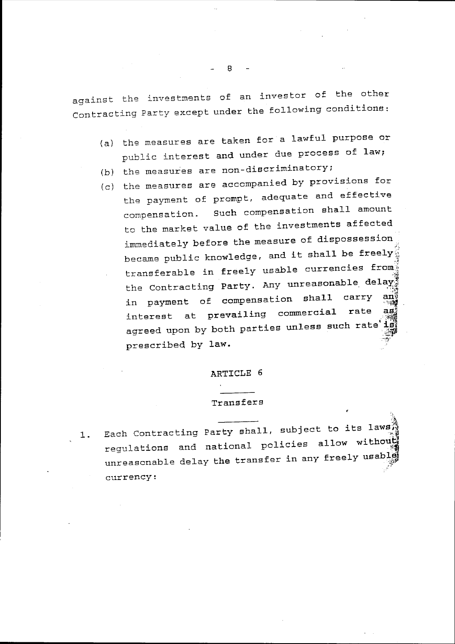against the investments of an investor of the other Contracting Party except under the following conditions:

- (a) the measures are taken for a lawful purpose or public interest and under due process of law;
- (b) the measures are non-discriminatory;
- (c) the measures are accompanied by provisions for the payment of prompt, adequate and effective compensation. Such compensation shall amount to the market value of the investments affected immediately before the measure of dispossession became public knowledge, and it shall be freely $\frac{1}{2}$ transferable in freely usable currencies from the Contracting Party. Any unreasonable delay<sup>9</sup> in payment of compensation shall carry  $interest$  at prevailing commercial rate  $\frac{a}{2}$ agreed upon by both parties unless such rate i.e.<br>prescribed by law.  $\cdot$  ;  $\cdot$  .

#### ARTICLE 6

#### Transfers

 $\mathbb{R}^+$ 

1. .'~ Each Contracting Party shall, subject to its laws regulations and national policies allow without unreasonable delay the transfer in any freely usable currency: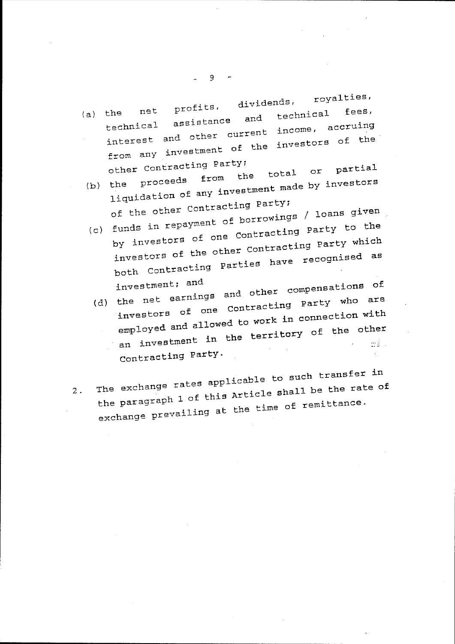(a) the  $net$   $p_{\text{LOL+LO}}$ ,  $t$ echnical assistance net profits, dividends, royalties,  $\frac{1}{2}$  and technical fees, technical assistance and<br>income, accruing from any investment of the investors of the

- other Contracting Party;<br>(b) the proceeds from the other contract  $\overline{f}$  the total or partial the process.<br>single transform of any investment made by investors of the other contracting Party;  $(c)$  funds in repayment of borrowings / loans given
- by investors of one Contracting party to the investors of the other contracting party which both Contracting parties have recognised as investment; and
- Investment. investors of one contracting party who are employed and allowed to work in connection with an investment in the territory of the other Contracting party.
- 2. The exchange rates applicable to such transfer in the paragraph 1 of this Article shall be the rate of exchange prevailing at the time of remittance.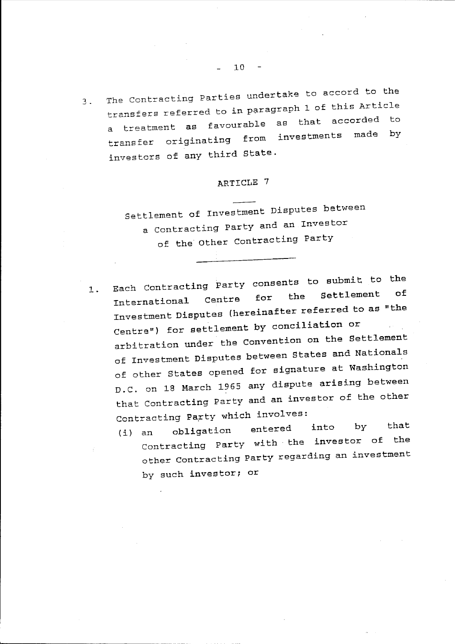3. The Contracting Parties undertake to accord to the transfers referred to in paragraph 1 of this Article a treatment as favourable as that accorded to transfer originating from investments made investors of any third state.

# ARTICLE 7

settlement of Investment Disputes between a Contracting Party and an Investor of the other Contracting Party

- 1. Each Contracting Party consents to submit to the International Centre for the Settlement of ----<br>Investment Disputes (hereinafter referred to as "the Centre") for settlement by conciliation or arbitration under the Convention on the Settlement of Investment Disputes between states and Nationals of other States opened for signature at Washington D.C. on 18 March 1965 any dispute arising between that contracting Party and an investor of the other Contracting Party which involves:
	- (i) an obligation entered Contracting Party with the investor of the into by that other Contracting Party regarding an investment by such investor; or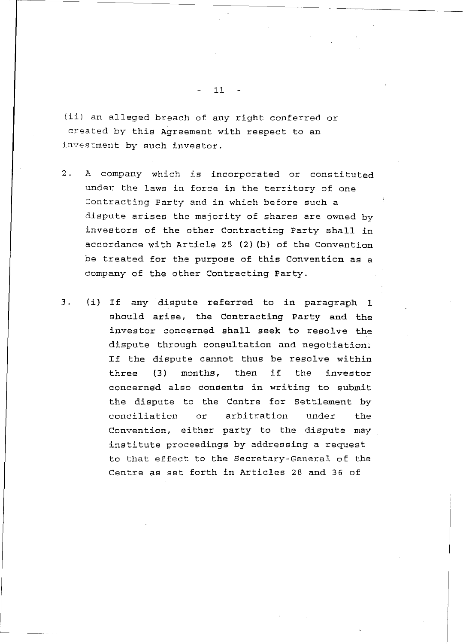(ii) an alleged breach of any right conferred or created by this Agreement with respect to an investment by such investor.

- 2. A company which is incorporated or constituted under the laws in force in the territory of one Contracting Party and in which before such a dispute arises the majority of shares are owned by investors of the other Contracting Party shall in accordance with Article 25 (2) (b) of the Convention be treated for the purpose of this Convention as a company of the other Contracting Party.
- 3. (i) If any dispute referred to in paragraph 1 should arise, the Contracting Party and the investor concerned shall seek to resolve the dispute through consultation and negotiation; If the dispute cannot thus be resolve within three (3) months, then if the investor concerned also consents in writing to submit the dispute to the Centre for Settlement by conciliation or arbitration under the Convention, either party to the dispute may institute proceedings by addressing a request to that effect to the Secretary-General of the Centre as set forth in Articles 28 and 36 of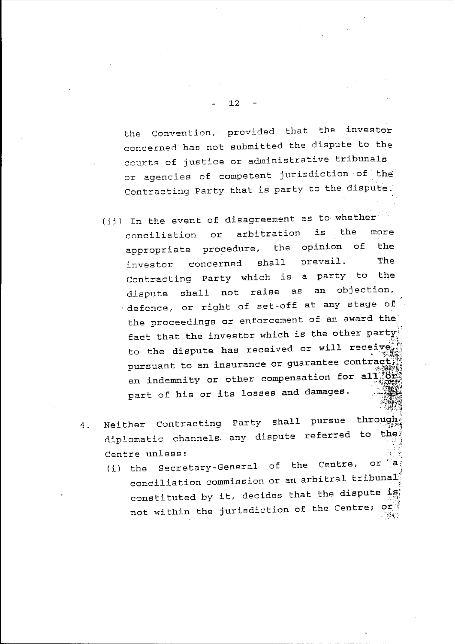the Convention, provided that the investor concerned has not submitted the dispute to the courts of justice or administrative tribunals or agencies of competent jurisdiction of the Contracting Party that is party to the dispute.

- (ii) In the event of disagreement as to whether conciliation or arbitration is the more appropriate procedure, the opinion of the investor concerned shall prevail. The Contracting Party which is a party to the dispute shall not raise as an objection, defence, or right of set-off at any stage of the proceedings or enforcement of an award the fact that the investor which is the other party! to the dispute has received or will receive; pursuant to an insurance or guarantee contract, an indemnity or other compensation for all  $\frac{1}{2}$ part of his or its losses and damages.
- 4 . Neither Contracting Party shall pursue diplomatic channels any dispute referred to the Centre unless: through
	- (i) the Secretary-General of the Centre, or 'J conciliation commission or an arbitral tribunal. constituted by it, decides that the dispute is not within the jurisdiction of the Centre;  $\sigma r_{\text{eff}}^{1/3}$  $\mathbb{R}$  .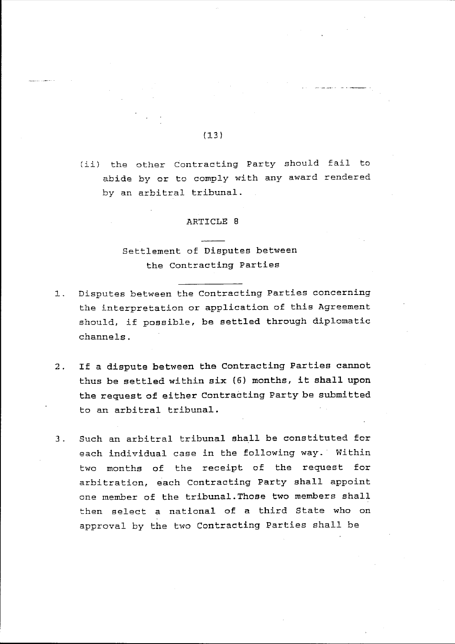## $(13)$

(ii) the other contracting Party should fail to abide by or to comply with any award rendered by an arbitral tribunal.

#### ARTICLE 8

# Settlement of Disputes between the contracting Parties

- 1. Disputes between the Contracting Parties concerning the interpretation or application of this Agreement should, if possible, be settled through diplomatic channels.
- 2. If a dispute between the Contracting Parties cannot thus be settled within six (6) months, it shall upon the request of either Contracting Party be submitted to an arbitral tribunal.
- 3. Such an arbitral tribunal shall be constituted for each individual case in the following way. Within two months of the receipt of the request for arbitration, each Contracting Party shall appoint one member of the tribunal.Those two members shall then select a national of a third State who on approval by the two Contracting Parties shall be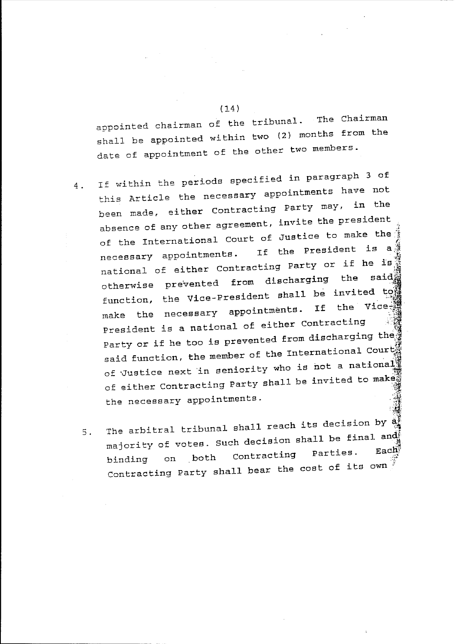appointed chairman of the tribunal. The Chairman shall be appointed within two (2) months from the date of appointment of the other two members.

- ., 4. If within the periods specified in paragraph 3 of this Article the necessary appointments have not been made, either Contracting Party may, absence of any other agreement, invite the president of the International Court of Justice to make the  $\frac{1}{6}$ necessary appointments. If the President is a<br>national of either Contracting Party or if he ist<br>otherwise prevented from discharging the said function, the Vice-President shall be invited to<br>make the necessary appointments. If the Vice-<br>President is a national of either Contracting Party or if he too is prevented from discharging the $\frac{3}{4}$ said function, the member of the International Court of Justice next in seniority who is not a national of either Contracting Party shall be invited to make the necessary appointments.
	- 5. The arbitral tribunal shall reach its decision by  $\frac{20}{20}$ majority of votes. Such decision shall be final and binding on both Contracting Parties. Contracting Party shall bear the cost of its own  $\hat{f}$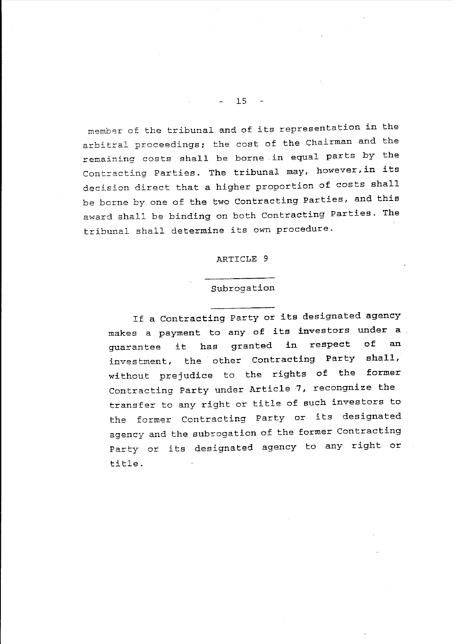member of the tribunal and of its representation in the arbitral proceedings; the cost of the Chairman and the remaining costs shall be borne in equal parts by the Contracting Parties. The tribunal may, however,in its decision direct that a higher proportion of costs shall be borne by one of the two Contracting Parties, and this award shall be binding on both Contracting Parties. The tribunal shall determine its own procedure.

#### ARTICLE 9

#### Subrogation

If a Contracting Party or its designated agency makes a payment to any of its investors under a guarantee it has granted in respect investment, the other Contracting Party shall, without prejudice to the rights of the former of an Contracting Party under Article 7, recongnize the transfer to any right or title of such investors to the former Contracting Party or its designated agency and the subrogation of the former Contracting Party or its designated agency to any right or title.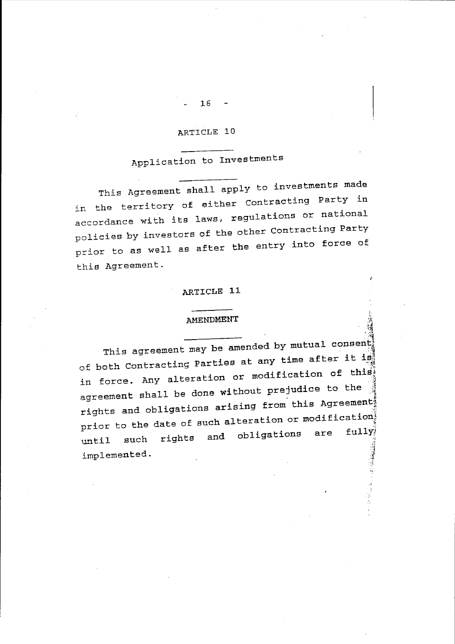# ARTICLE 10

# Application to Investments

This Agreement shall apply to investments made in the territory of either Contracting Party in accordance with its laws, regulations or national policies by investors of the other Contracting Party prior to as well as after the entry into force of this Agreement.

#### ARTICLE 11

### AMENDMENT

This agreement may be amended by mutual consent; of both Contracting Parties at any time after it is: in force. Any alteration or modification of this agreement shall be done without prejudice to the  $\frac{3}{4}$ rights and obligations arising from this Agreement; prior to the date of such alteration or modificationi ::;: until such rights and obligations are 医心理 医心理 医心理学 医心理学 医心理学 implemented.

 $\cdot \frac{3}{2}$  .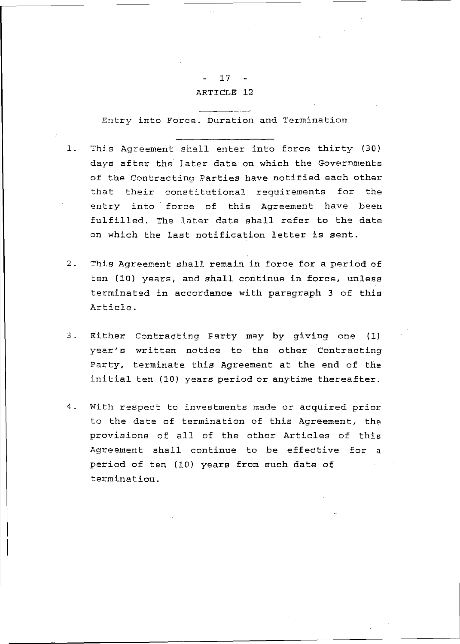# 17 ARTICLE 12

Entry into Force. Duration and Termination

- 1. This Agreement shall enter into force thirty (30) days after the later date on which the Governments of the Contracting Parties have notified each other that their constitutional requirements for the entry into force of this Agreement have been fulfilled. The later date shall refer to the date on which the last notification letter is sent.
- 2. This Agreement shall remain in force for a period of ten (10) years, and shall continue in force, unless terminated in accordance with paragraph 3 of this Article.
- 3. Either Contracting Farty may by giving one (1) year's written notice to the other Contracting Party, terminate this Agreement at the end of the initial ten (10) years period or anytime thereafter.
- 4. With respect to investments made or acquired prior to the date of termination of this Agreement, the provisions of all of the other Articles of this Agreement shall continue to be effective for a period of ten (10) years from such date of termination.